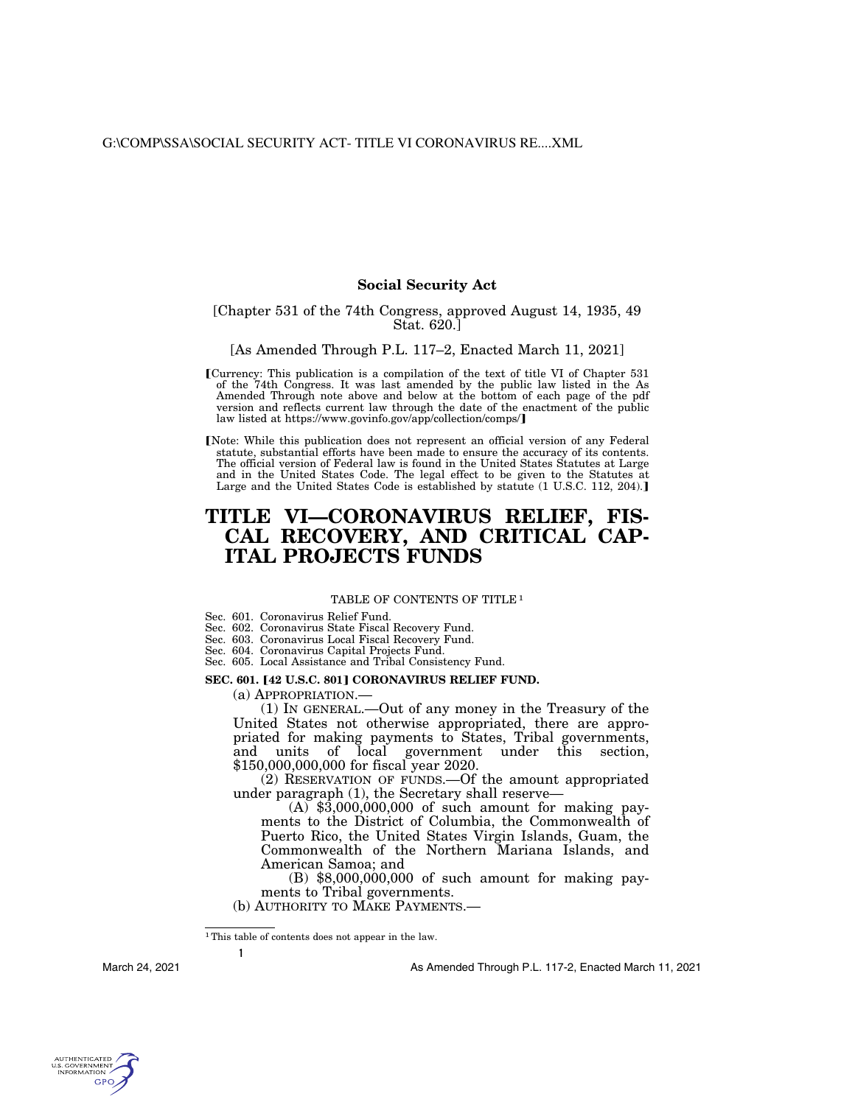# **Social Security Act**

# [Chapter 531 of the 74th Congress, approved August 14, 1935, 49 Stat. 620.]

[As Amended Through P.L. 117–2, Enacted March 11, 2021]

- øCurrency: This publication is a compilation of the text of title VI of Chapter 531 of the 74th Congress. It was last amended by the public law listed in the As Amended Through note above and below at the bottom of each page of the pdf version and reflects current law through the date of the enactment of the public law listed at https://www.govinfo.gov/app/collection/comps/]
- [Note: While this publication does not represent an official version of any Federal statute, substantial efforts have been made to ensure the accuracy of its contents. The official version of Federal law is found in the United States Statutes at Large and in the United States Code. The legal effect to be given to the Statutes at Large and the United States Code is established by statute (1 U.S.C. 112, 204).]

# **TITLE VI—CORONAVIRUS RELIEF, FIS-CAL RECOVERY, AND CRITICAL CAP-ITAL PROJECTS FUNDS**

### TABLE OF CONTENTS OF TITLE 1

Sec. 601. Coronavirus Relief Fund.

Sec. 602. Coronavirus State Fiscal Recovery Fund.

Sec. 603. Coronavirus Local Fiscal Recovery Fund.

Sec. 604. Coronavirus Capital Projects Fund. Sec. 605. Local Assistance and Tribal Consistency Fund.

# **SEC. 601. [42 U.S.C. 801] CORONAVIRUS RELIEF FUND.**

(a) APPROPRIATION.—

(1) IN GENERAL.—Out of any money in the Treasury of the United States not otherwise appropriated, there are appropriated for making payments to States, Tribal governments, and units of local government under this section, \$150,000,000,000 for fiscal year 2020.

(2) RESERVATION OF FUNDS.—Of the amount appropriated under paragraph (1), the Secretary shall reserve—

 $(A)$  \$3,000,000,000 of such amount for making payments to the District of Columbia, the Commonwealth of Puerto Rico, the United States Virgin Islands, Guam, the Commonwealth of the Northern Mariana Islands, and American Samoa; and

(B) \$8,000,000,000 of such amount for making payments to Tribal governments.

(b) AUTHORITY TO MAKE PAYMENTS.—

1This table of contents does not appear in the law.

**1** 

March 24, 2021

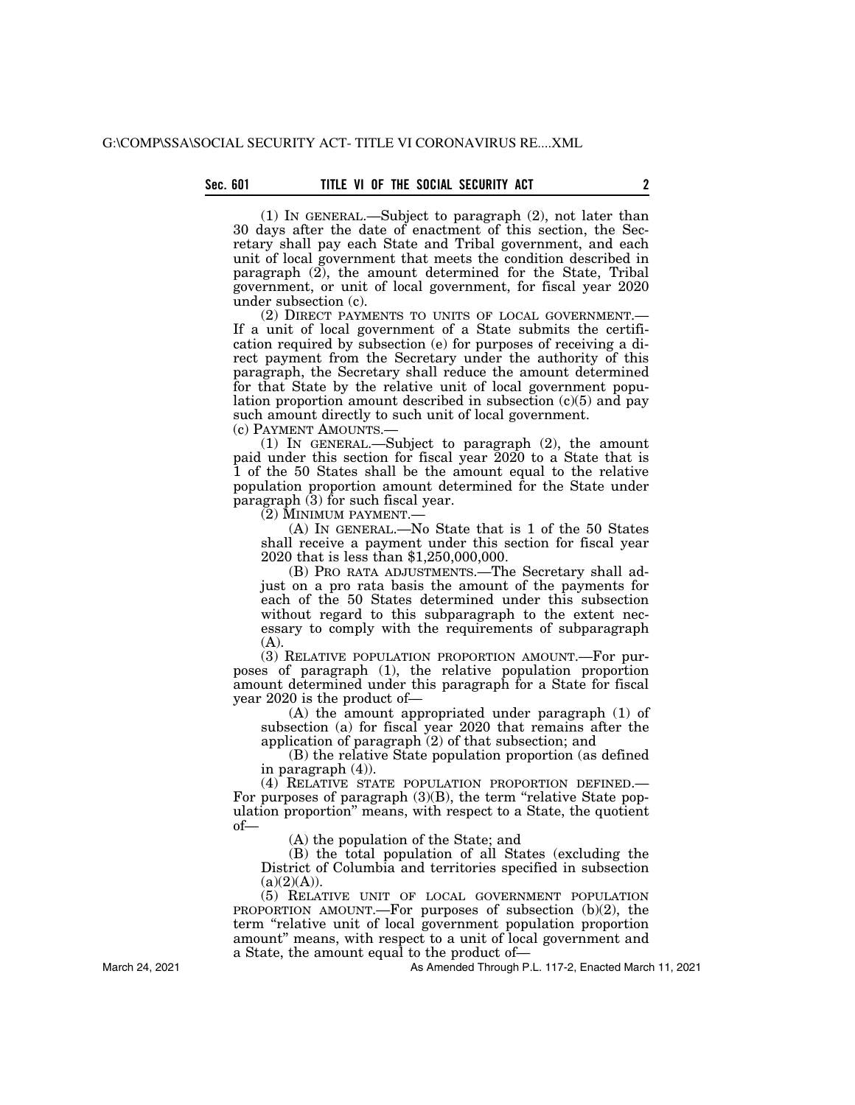(1) IN GENERAL.—Subject to paragraph (2), not later than 30 days after the date of enactment of this section, the Secretary shall pay each State and Tribal government, and each unit of local government that meets the condition described in paragraph (2), the amount determined for the State, Tribal government, or unit of local government, for fiscal year 2020 under subsection (c).

(2) DIRECT PAYMENTS TO UNITS OF LOCAL GOVERNMENT.— If a unit of local government of a State submits the certification required by subsection (e) for purposes of receiving a direct payment from the Secretary under the authority of this paragraph, the Secretary shall reduce the amount determined for that State by the relative unit of local government population proportion amount described in subsection  $(c)(5)$  and pay such amount directly to such unit of local government. (c) PAYMENT AMOUNTS.—

(1) IN GENERAL.—Subject to paragraph (2), the amount paid under this section for fiscal year 2020 to a State that is 1 of the 50 States shall be the amount equal to the relative population proportion amount determined for the State under paragraph (3) for such fiscal year.

(2) MINIMUM PAYMENT.—

(A) IN GENERAL.—No State that is 1 of the 50 States shall receive a payment under this section for fiscal year 2020 that is less than \$1,250,000,000.

(B) PRO RATA ADJUSTMENTS.—The Secretary shall adjust on a pro rata basis the amount of the payments for each of the 50 States determined under this subsection without regard to this subparagraph to the extent necessary to comply with the requirements of subparagraph  $(A)$ .

(3) RELATIVE POPULATION PROPORTION AMOUNT.—For purposes of paragraph (1), the relative population proportion amount determined under this paragraph for a State for fiscal year 2020 is the product of—

(A) the amount appropriated under paragraph (1) of subsection (a) for fiscal year 2020 that remains after the application of paragraph (2) of that subsection; and

(B) the relative State population proportion (as defined in paragraph (4)).

(4) RELATIVE STATE POPULATION PROPORTION DEFINED.— For purposes of paragraph  $(3)(B)$ , the term "relative State population proportion'' means, with respect to a State, the quotient of—

(A) the population of the State; and

(B) the total population of all States (excluding the District of Columbia and territories specified in subsection  $(a)(2)(A)).$ 

(5) RELATIVE UNIT OF LOCAL GOVERNMENT POPULATION PROPORTION AMOUNT.—For purposes of subsection (b)(2), the term ''relative unit of local government population proportion amount'' means, with respect to a unit of local government and a State, the amount equal to the product of—

As Amended Through P.L. 117-2, Enacted March 11, 2021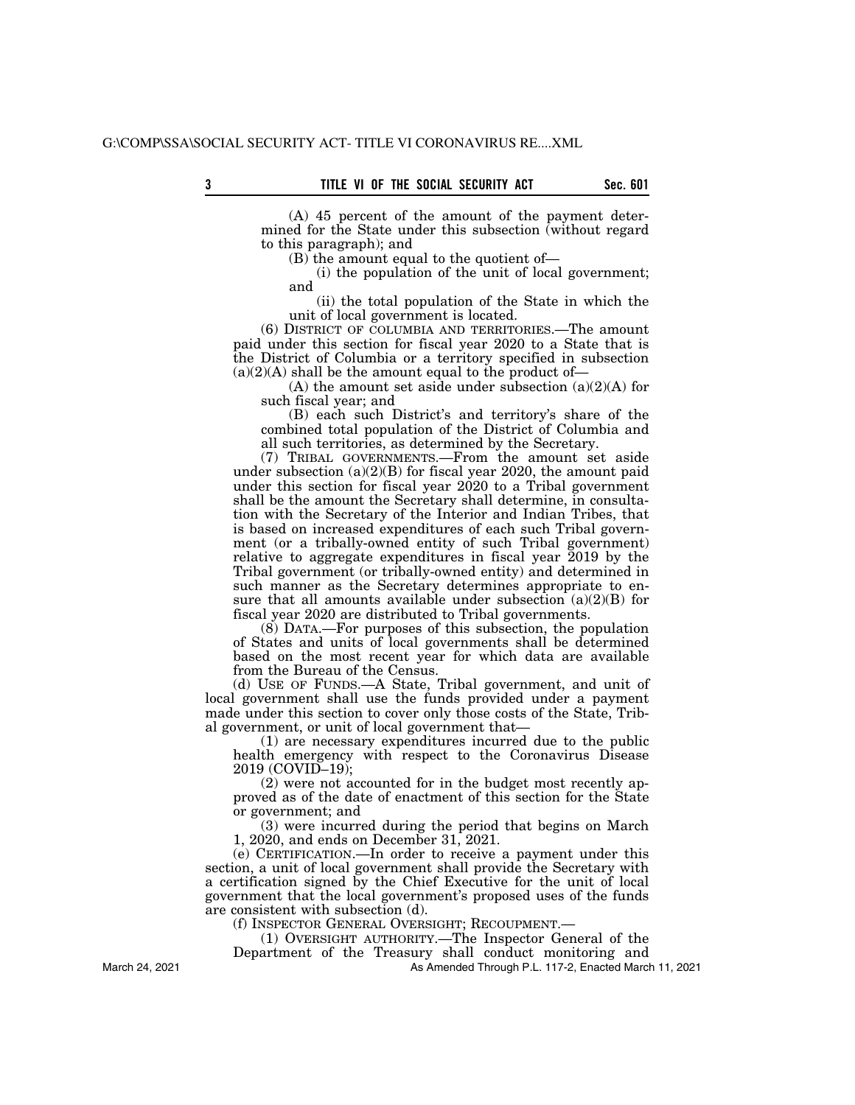(A) 45 percent of the amount of the payment determined for the State under this subsection (without regard to this paragraph); and

 $(B)$  the amount equal to the quotient of-

(i) the population of the unit of local government; and

(ii) the total population of the State in which the unit of local government is located.

(6) DISTRICT OF COLUMBIA AND TERRITORIES.—The amount paid under this section for fiscal year 2020 to a State that is the District of Columbia or a territory specified in subsection  $(a)(2)(A)$  shall be the amount equal to the product of-

(A) the amount set aside under subsection  $(a)(2)(A)$  for such fiscal year; and

(B) each such District's and territory's share of the combined total population of the District of Columbia and all such territories, as determined by the Secretary.

(7) TRIBAL GOVERNMENTS.—From the amount set aside under subsection (a)(2)(B) for fiscal year 2020, the amount paid under this section for fiscal year 2020 to a Tribal government shall be the amount the Secretary shall determine, in consultation with the Secretary of the Interior and Indian Tribes, that is based on increased expenditures of each such Tribal government (or a tribally-owned entity of such Tribal government) relative to aggregate expenditures in fiscal year 2019 by the Tribal government (or tribally-owned entity) and determined in such manner as the Secretary determines appropriate to ensure that all amounts available under subsection  $(a)(2)(B)$  for fiscal year 2020 are distributed to Tribal governments.

(8) DATA.—For purposes of this subsection, the population of States and units of local governments shall be determined based on the most recent year for which data are available from the Bureau of the Census.

(d) USE OF FUNDS.—A State, Tribal government, and unit of local government shall use the funds provided under a payment made under this section to cover only those costs of the State, Tribal government, or unit of local government that—

(1) are necessary expenditures incurred due to the public health emergency with respect to the Coronavirus Disease 2019 (COVID–19);

(2) were not accounted for in the budget most recently approved as of the date of enactment of this section for the State or government; and

(3) were incurred during the period that begins on March 1, 2020, and ends on December 31, 2021.

(e) CERTIFICATION.—In order to receive a payment under this section, a unit of local government shall provide the Secretary with a certification signed by the Chief Executive for the unit of local government that the local government's proposed uses of the funds are consistent with subsection (d).

(f) INSPECTOR GENERAL OVERSIGHT; RECOUPMENT.—

(1) OVERSIGHT AUTHORITY.—The Inspector General of the

Department of the Treasury shall conduct monitoring and As Amended Through P.L. 117-2, Enacted March 11, 2021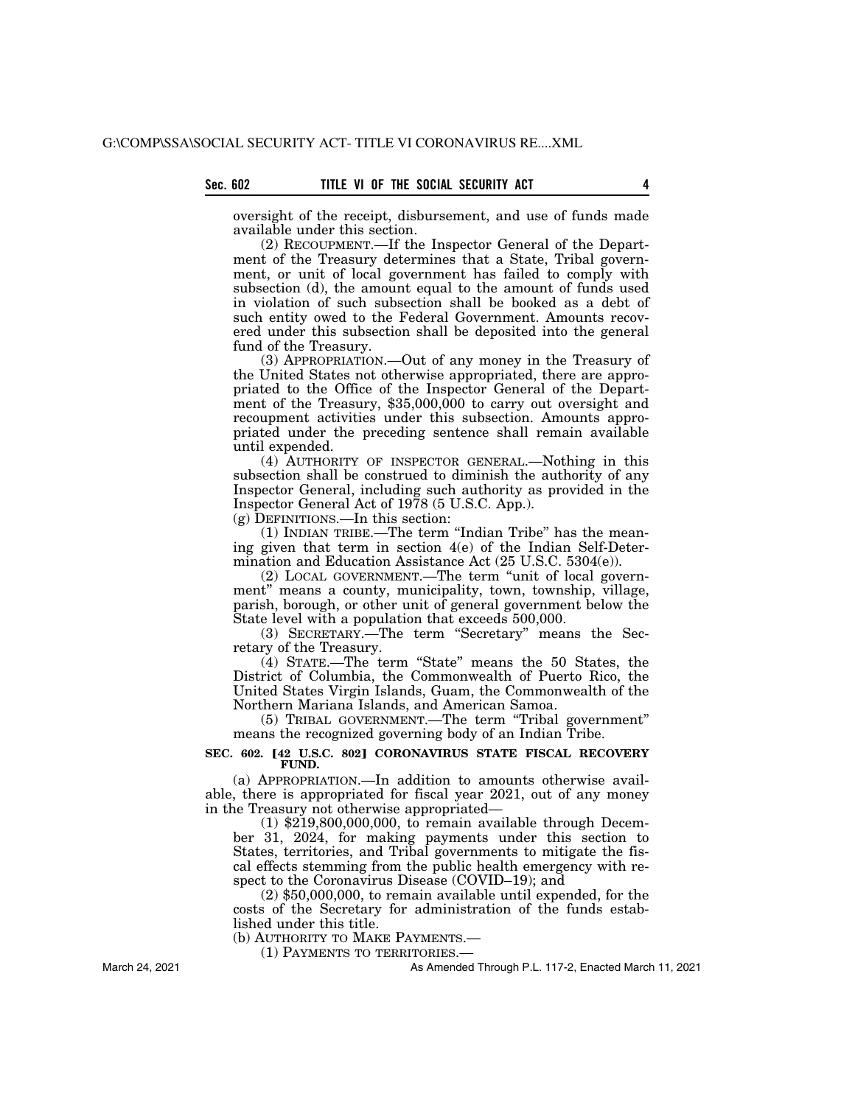oversight of the receipt, disbursement, and use of funds made available under this section.

(2) RECOUPMENT.—If the Inspector General of the Department of the Treasury determines that a State, Tribal government, or unit of local government has failed to comply with subsection (d), the amount equal to the amount of funds used in violation of such subsection shall be booked as a debt of such entity owed to the Federal Government. Amounts recovered under this subsection shall be deposited into the general fund of the Treasury.

(3) APPROPRIATION.—Out of any money in the Treasury of the United States not otherwise appropriated, there are appropriated to the Office of the Inspector General of the Department of the Treasury, \$35,000,000 to carry out oversight and recoupment activities under this subsection. Amounts appropriated under the preceding sentence shall remain available until expended.

(4) AUTHORITY OF INSPECTOR GENERAL.—Nothing in this subsection shall be construed to diminish the authority of any Inspector General, including such authority as provided in the Inspector General Act of 1978 (5 U.S.C. App.).

(g) DEFINITIONS.—In this section:

(1) INDIAN TRIBE.—The term ''Indian Tribe'' has the meaning given that term in section 4(e) of the Indian Self-Determination and Education Assistance Act (25 U.S.C. 5304(e)).

(2) LOCAL GOVERNMENT.—The term ''unit of local government'' means a county, municipality, town, township, village, parish, borough, or other unit of general government below the State level with a population that exceeds 500,000.

(3) SECRETARY.—The term ''Secretary'' means the Secretary of the Treasury.

 $(4)$  STATE.—The term "State" means the 50 States, the District of Columbia, the Commonwealth of Puerto Rico, the United States Virgin Islands, Guam, the Commonwealth of the Northern Mariana Islands, and American Samoa.

(5) TRIBAL GOVERNMENT.—The term ''Tribal government'' means the recognized governing body of an Indian Tribe.

# SEC. 602. <sup>[42 U.S.C. 802] CORONAVIRUS STATE FISCAL RECOVERY</sup> **FUND.**

(a) APPROPRIATION.—In addition to amounts otherwise available, there is appropriated for fiscal year 2021, out of any money in the Treasury not otherwise appropriated—

 $(1)$  \$219,800,000,000, to remain available through December 31, 2024, for making payments under this section to States, territories, and Tribal governments to mitigate the fiscal effects stemming from the public health emergency with respect to the Coronavirus Disease (COVID–19); and

(2) \$50,000,000, to remain available until expended, for the costs of the Secretary for administration of the funds established under this title.

(b) AUTHORITY TO MAKE PAYMENTS.—

(1) PAYMENTS TO TERRITORIES.—

As Amended Through P.L. 117-2, Enacted March 11, 2021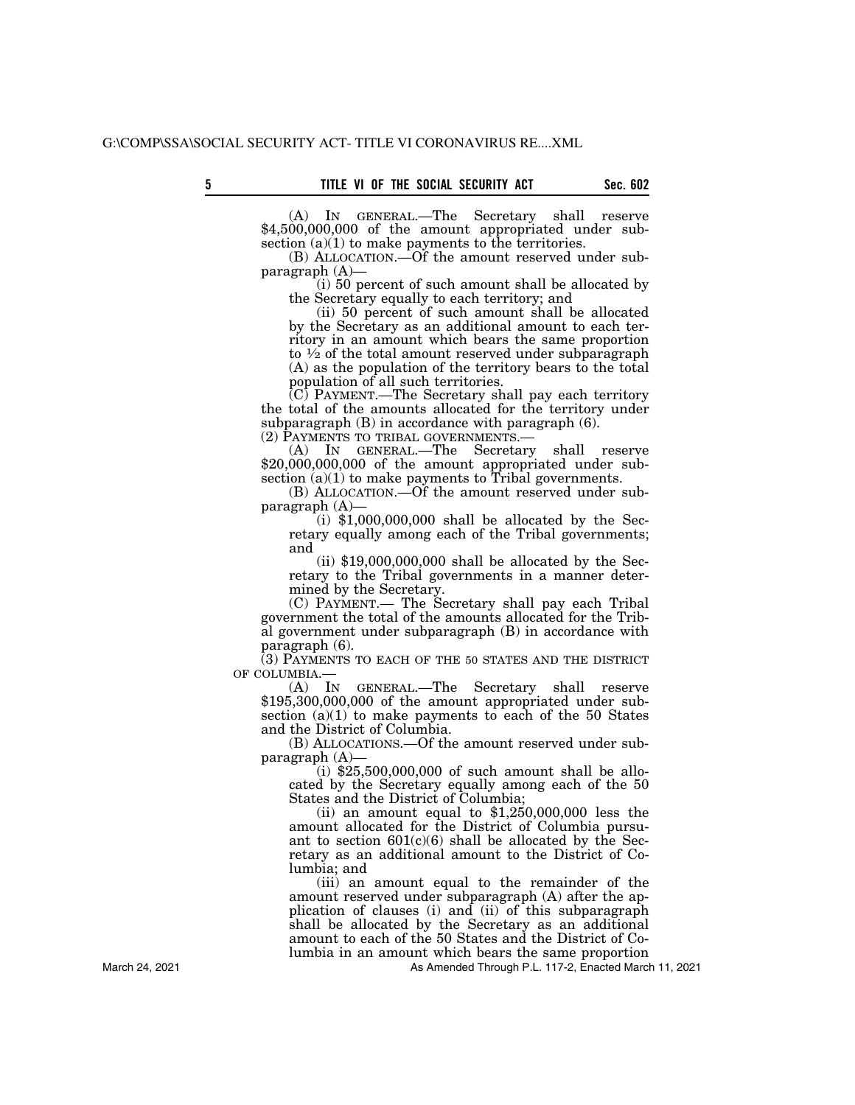(A) IN GENERAL.—The Secretary shall reserve \$4,500,000,000 of the amount appropriated under subsection  $(a)(1)$  to make payments to the territories.

(B) ALLOCATION.—Of the amount reserved under subparagraph (A)—

(i) 50 percent of such amount shall be allocated by the Secretary equally to each territory; and

(ii) 50 percent of such amount shall be allocated by the Secretary as an additional amount to each territory in an amount which bears the same proportion to  $\frac{1}{2}$  of the total amount reserved under subparagraph (A) as the population of the territory bears to the total population of all such territories.

 $(C)$  PAYMENT.—The Secretary shall pay each territory the total of the amounts allocated for the territory under subparagraph  $(B)$  in accordance with paragraph  $(6)$ .

(2) PAYMENTS TO TRIBAL GOVERNMENTS.— (A) IN GENERAL.—The Secretary shall reserve \$20,000,000,000 of the amount appropriated under subsection (a)(1) to make payments to Tribal governments.

(B) ALLOCATION.—Of the amount reserved under subparagraph  $(A)$ —<br>(i) \$1,000,000,000 shall be allocated by the Sec-

retary equally among each of the Tribal governments; and

 $(ii)$  \$19,000,000,000 shall be allocated by the Secretary to the Tribal governments in a manner determined by the Secretary.

(C) PAYMENT.— The Secretary shall pay each Tribal government the total of the amounts allocated for the Tribal government under subparagraph (B) in accordance with paragraph (6).

(3) PAYMENTS TO EACH OF THE 50 STATES AND THE DISTRICT OF COLUMBIA.—

(A) IN GENERAL.—The Secretary shall reserve \$195,300,000,000 of the amount appropriated under subsection  $(a)(1)$  to make payments to each of the 50 States and the District of Columbia.

(B) ALLOCATIONS.—Of the amount reserved under subparagraph (A)—

 $(i)$  \$25,500,000,000 of such amount shall be allocated by the Secretary equally among each of the 50 States and the District of Columbia;

(ii) an amount equal to  $$1,250,000,000$  less the amount allocated for the District of Columbia pursuant to section  $601(c)(6)$  shall be allocated by the Secretary as an additional amount to the District of Columbia; and

(iii) an amount equal to the remainder of the amount reserved under subparagraph (A) after the application of clauses (i) and (ii) of this subparagraph shall be allocated by the Secretary as an additional amount to each of the 50 States and the District of Columbia in an amount which bears the same proportion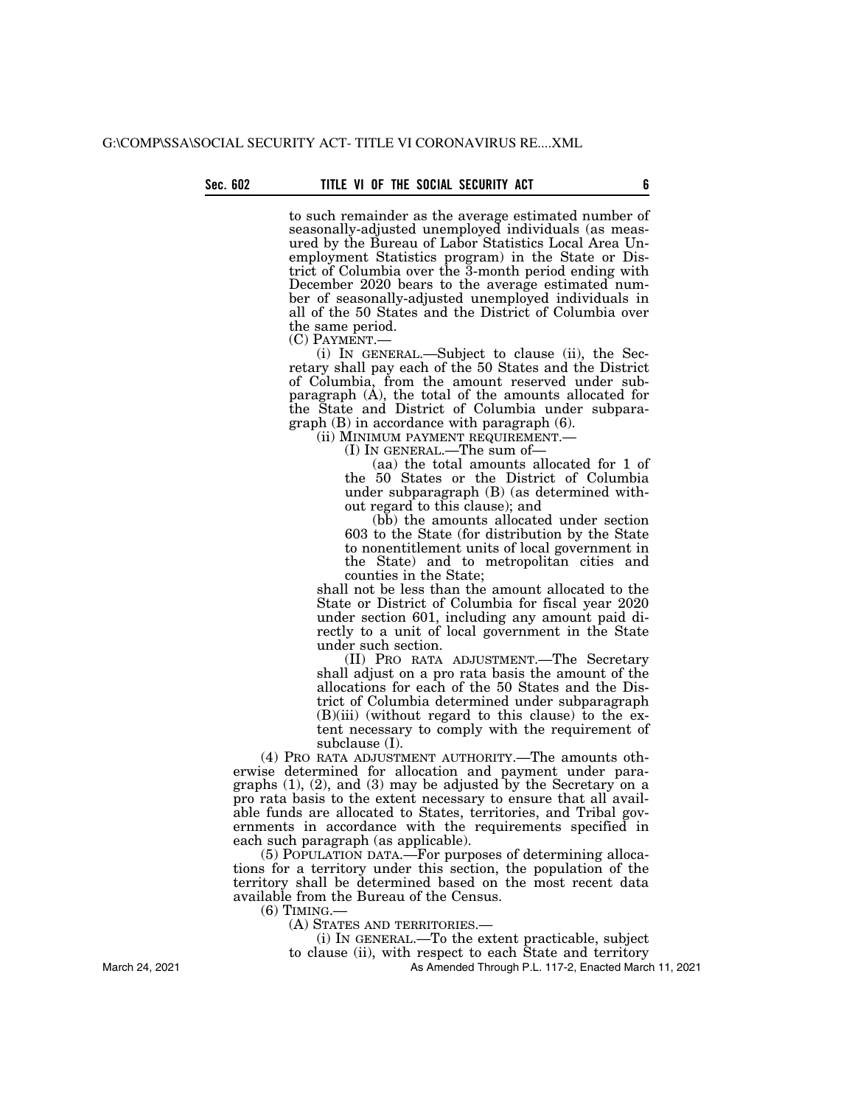to such remainder as the average estimated number of seasonally-adjusted unemployed individuals (as measured by the Bureau of Labor Statistics Local Area Unemployment Statistics program) in the State or District of Columbia over the 3-month period ending with December 2020 bears to the average estimated number of seasonally-adjusted unemployed individuals in all of the 50 States and the District of Columbia over the same period.<br>(C) PAYMENT.—

 $(i)$  In GENERAL.—Subject to clause  $(ii)$ , the Secretary shall pay each of the 50 States and the District of Columbia, from the amount reserved under subparagraph  $(A)$ , the total of the amounts allocated for the State and District of Columbia under subparagraph (B) in accordance with paragraph (6).

(ii) MINIMUM PAYMENT REQUIREMENT.—<br>(I) IN GENERAL.—The sum of—

(aa) the total amounts allocated for 1 of the 50 States or the District of Columbia under subparagraph (B) (as determined without regard to this clause); and

(bb) the amounts allocated under section 603 to the State (for distribution by the State to nonentitlement units of local government in the State) and to metropolitan cities and counties in the State;

shall not be less than the amount allocated to the State or District of Columbia for fiscal year 2020 under section 601, including any amount paid directly to a unit of local government in the State under such section.

(II) PRO RATA ADJUSTMENT.—The Secretary shall adjust on a pro rata basis the amount of the allocations for each of the 50 States and the District of Columbia determined under subparagraph  $(B)(iii)$  (without regard to this clause) to the extent necessary to comply with the requirement of subclause (I).

(4) PRO RATA ADJUSTMENT AUTHORITY.—The amounts otherwise determined for allocation and payment under paragraphs  $(1)$ ,  $(2)$ , and  $(3)$  may be adjusted by the Secretary on a pro rata basis to the extent necessary to ensure that all available funds are allocated to States, territories, and Tribal governments in accordance with the requirements specified in each such paragraph (as applicable).

(5) POPULATION DATA.—For purposes of determining allocations for a territory under this section, the population of the territory shall be determined based on the most recent data available from the Bureau of the Census.

 $(6)$  TIMING.

(A) STATES AND TERRITORIES.—

(i) IN GENERAL.—To the extent practicable, subject

to clause (ii), with respect to each State and territory

As Amended Through P.L. 117-2, Enacted March 11, 2021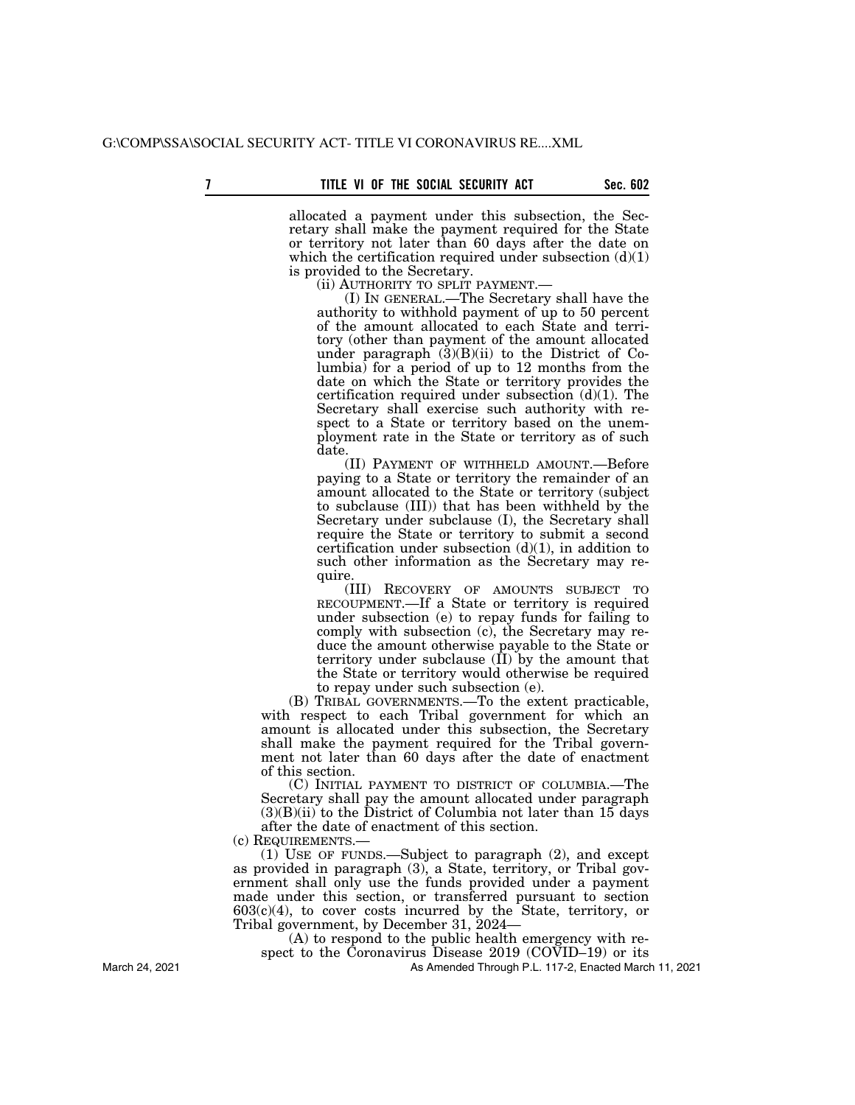allocated a payment under this subsection, the Secretary shall make the payment required for the State or territory not later than 60 days after the date on which the certification required under subsection  $(d)(1)$ 

is provided to the Secretary.<br>(ii) AUTHORITY TO SPLIT PAYMENT.—

(I) IN GENERAL.—The Secretary shall have the authority to withhold payment of up to 50 percent of the amount allocated to each State and territory (other than payment of the amount allocated under paragraph  $(3)(B)(ii)$  to the District of Columbia) for a period of up to 12 months from the date on which the State or territory provides the certification required under subsection  $(d)(1)$ . The Secretary shall exercise such authority with respect to a State or territory based on the unemployment rate in the State or territory as of such date.

(II) PAYMENT OF WITHHELD AMOUNT.—Before paying to a State or territory the remainder of an amount allocated to the State or territory (subject to subclause (III)) that has been withheld by the Secretary under subclause (I), the Secretary shall require the State or territory to submit a second certification under subsection  $(d)(1)$ , in addition to such other information as the Secretary may require.

(III) RECOVERY OF AMOUNTS SUBJECT TO RECOUPMENT.—If a State or territory is required under subsection (e) to repay funds for failing to comply with subsection (c), the Secretary may reduce the amount otherwise payable to the State or territory under subclause  $(\hat{II})$  by the amount that the State or territory would otherwise be required to repay under such subsection (e).

(B) TRIBAL GOVERNMENTS.—To the extent practicable, with respect to each Tribal government for which an amount is allocated under this subsection, the Secretary shall make the payment required for the Tribal government not later than 60 days after the date of enactment of this section.

(C) INITIAL PAYMENT TO DISTRICT OF COLUMBIA.—The Secretary shall pay the amount allocated under paragraph  $(3)(B)(ii)$  to the District of Columbia not later than 15 days after the date of enactment of this section.

(c) REQUIREMENTS.—

(1) USE OF FUNDS.—Subject to paragraph (2), and except as provided in paragraph (3), a State, territory, or Tribal government shall only use the funds provided under a payment made under this section, or transferred pursuant to section  $603(c)(4)$ , to cover costs incurred by the State, territory, or Tribal government, by December 31, 2024—

(A) to respond to the public health emergency with respect to the Coronavirus Disease 2019 (COVID–19) or its

As Amended Through P.L. 117-2, Enacted March 11, 2021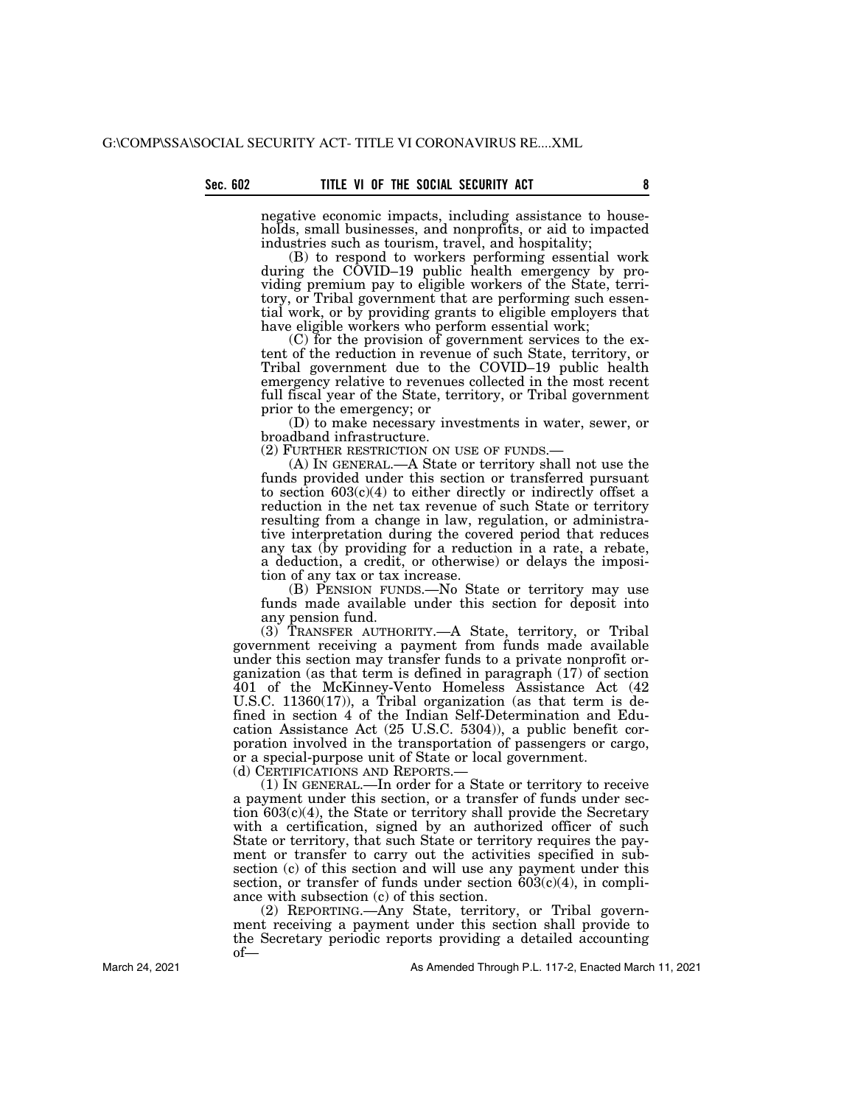negative economic impacts, including assistance to households, small businesses, and nonprofits, or aid to impacted industries such as tourism, travel, and hospitality;

(B) to respond to workers performing essential work during the COVID–19 public health emergency by providing premium pay to eligible workers of the State, territory, or Tribal government that are performing such essential work, or by providing grants to eligible employers that have eligible workers who perform essential work;

(C) for the provision of government services to the extent of the reduction in revenue of such State, territory, or Tribal government due to the COVID–19 public health emergency relative to revenues collected in the most recent full fiscal year of the State, territory, or Tribal government prior to the emergency; or

(D) to make necessary investments in water, sewer, or broadband infrastructure.<br>(2) FURTHER RESTRICTION ON USE OF FUNDS.-

(A) IN GENERAL.—A State or territory shall not use the funds provided under this section or transferred pursuant to section  $603(c)(4)$  to either directly or indirectly offset a reduction in the net tax revenue of such State or territory resulting from a change in law, regulation, or administrative interpretation during the covered period that reduces any tax (by providing for a reduction in a rate, a rebate, a deduction, a credit, or otherwise) or delays the imposition of any tax or tax increase.

(B) PENSION FUNDS.—No State or territory may use funds made available under this section for deposit into any pension fund.

(3) TRANSFER AUTHORITY.—A State, territory, or Tribal government receiving a payment from funds made available under this section may transfer funds to a private nonprofit organization (as that term is defined in paragraph (17) of section 401 of the McKinney-Vento Homeless Assistance Act (42 U.S.C. 11360(17)), a Tribal organization (as that term is defined in section 4 of the Indian Self-Determination and Education Assistance Act (25 U.S.C. 5304)), a public benefit corporation involved in the transportation of passengers or cargo, or a special-purpose unit of State or local government.

(d) CERTIFICATIONS AND REPORTS.—

(1) IN GENERAL.—In order for a State or territory to receive a payment under this section, or a transfer of funds under section 603(c)(4), the State or territory shall provide the Secretary with a certification, signed by an authorized officer of such State or territory, that such State or territory requires the payment or transfer to carry out the activities specified in subsection (c) of this section and will use any payment under this section, or transfer of funds under section  $60\overline{3}(c)(4)$ , in compliance with subsection (c) of this section.

(2) REPORTING.—Any State, territory, or Tribal government receiving a payment under this section shall provide to the Secretary periodic reports providing a detailed accounting of—

As Amended Through P.L. 117-2, Enacted March 11, 2021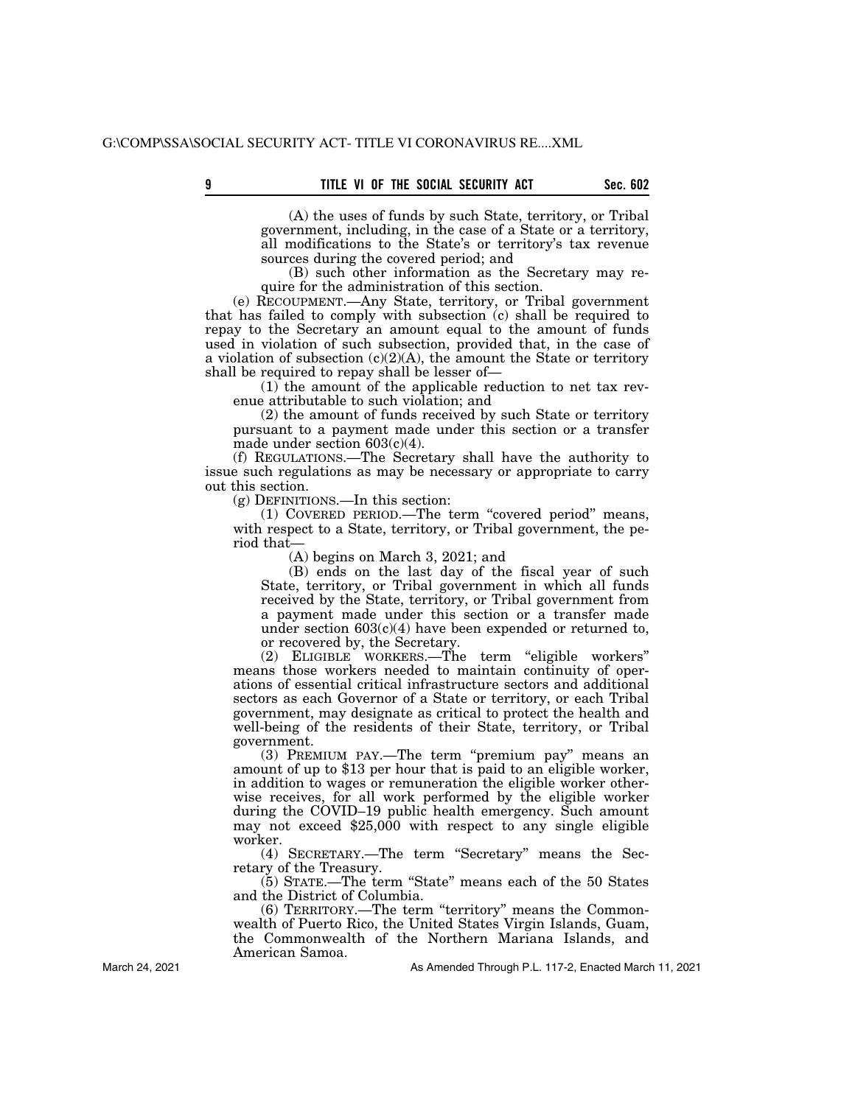(A) the uses of funds by such State, territory, or Tribal government, including, in the case of a State or a territory, all modifications to the State's or territory's tax revenue sources during the covered period; and

(B) such other information as the Secretary may require for the administration of this section.

(e) RECOUPMENT.—Any State, territory, or Tribal government that has failed to comply with subsection (c) shall be required to repay to the Secretary an amount equal to the amount of funds used in violation of such subsection, provided that, in the case of a violation of subsection  $(c)(2)(A)$ , the amount the State or territory shall be required to repay shall be lesser of—

(1) the amount of the applicable reduction to net tax revenue attributable to such violation; and

(2) the amount of funds received by such State or territory pursuant to a payment made under this section or a transfer made under section 603(c)(4).

(f) REGULATIONS.—The Secretary shall have the authority to issue such regulations as may be necessary or appropriate to carry out this section.

(g) DEFINITIONS.—In this section:

(1) COVERED PERIOD.—The term ''covered period'' means, with respect to a State, territory, or Tribal government, the period that—

(A) begins on March 3, 2021; and

(B) ends on the last day of the fiscal year of such State, territory, or Tribal government in which all funds received by the State, territory, or Tribal government from a payment made under this section or a transfer made under section  $603(c)(4)$  have been expended or returned to, or recovered by, the Secretary.

(2) ELIGIBLE WORKERS.—The term ''eligible workers'' means those workers needed to maintain continuity of operations of essential critical infrastructure sectors and additional sectors as each Governor of a State or territory, or each Tribal government, may designate as critical to protect the health and well-being of the residents of their State, territory, or Tribal government.

(3) PREMIUM PAY.—The term ''premium pay'' means an amount of up to \$13 per hour that is paid to an eligible worker, in addition to wages or remuneration the eligible worker otherwise receives, for all work performed by the eligible worker during the COVID–19 public health emergency. Such amount may not exceed \$25,000 with respect to any single eligible worker.

(4) SECRETARY.—The term ''Secretary'' means the Secretary of the Treasury.

(5) STATE.—The term ''State'' means each of the 50 States and the District of Columbia.

(6) TERRITORY.—The term ''territory'' means the Commonwealth of Puerto Rico, the United States Virgin Islands, Guam, the Commonwealth of the Northern Mariana Islands, and American Samoa.

As Amended Through P.L. 117-2, Enacted March 11, 2021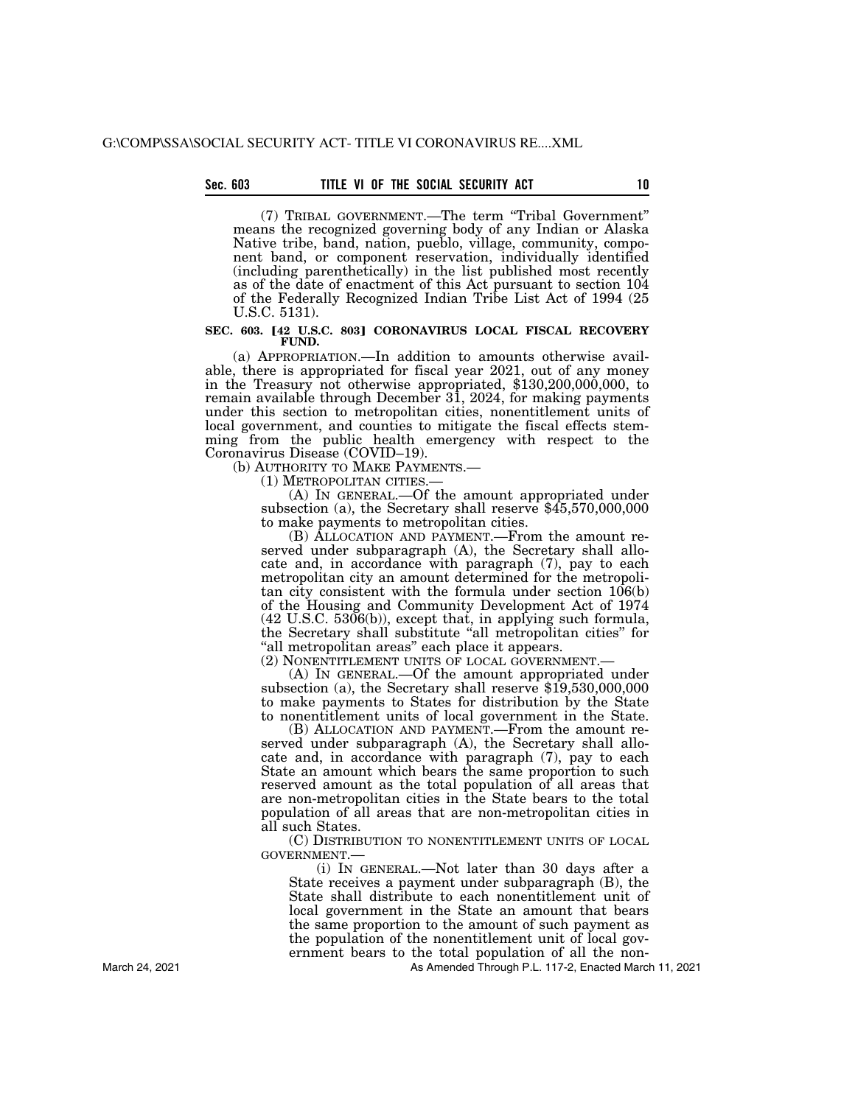## **Sec. 603 TITLE VI OF THE SOCIAL SECURITY ACT 10**

(7) TRIBAL GOVERNMENT.—The term ''Tribal Government'' means the recognized governing body of any Indian or Alaska Native tribe, band, nation, pueblo, village, community, component band, or component reservation, individually identified (including parenthetically) in the list published most recently as of the date of enactment of this Act pursuant to section 104 of the Federally Recognized Indian Tribe List Act of 1994 (25 U.S.C. 5131).

### SEC. 603. <sup>[42 U.S.C. 803] CORONAVIRUS LOCAL FISCAL RECOVERY</sup> **FUND.**

(a) APPROPRIATION.—In addition to amounts otherwise available, there is appropriated for fiscal year 2021, out of any money in the Treasury not otherwise appropriated, \$130,200,000,000, to remain available through December 31, 2024, for making payments under this section to metropolitan cities, nonentitlement units of local government, and counties to mitigate the fiscal effects stemming from the public health emergency with respect to the Coronavirus Disease (COVID–19).<br>(b) AUTHORITY TO MAKE PAYMENTS.—

(1) METROPOLITAN CITIES.—<br>(A) IN GENERAL.—Of the amount appropriated under subsection (a), the Secretary shall reserve  $$45,570,000,000$ to make payments to metropolitan cities.

(B) ALLOCATION AND PAYMENT.—From the amount reserved under subparagraph (A), the Secretary shall allocate and, in accordance with paragraph (7), pay to each metropolitan city an amount determined for the metropolitan city consistent with the formula under section 106(b) of the Housing and Community Development Act of 1974 (42 U.S.C. 5306(b)), except that, in applying such formula, the Secretary shall substitute ''all metropolitan cities'' for ''all metropolitan areas'' each place it appears.

(A) IN GENERAL.—Of the amount appropriated under subsection (a), the Secretary shall reserve  $$19,530,000,000$ to make payments to States for distribution by the State to nonentitlement units of local government in the State.

(B) ALLOCATION AND PAYMENT.—From the amount reserved under subparagraph (A), the Secretary shall allocate and, in accordance with paragraph (7), pay to each State an amount which bears the same proportion to such reserved amount as the total population of all areas that are non-metropolitan cities in the State bears to the total population of all areas that are non-metropolitan cities in all such States.

(C) DISTRIBUTION TO NONENTITLEMENT UNITS OF LOCAL GOVERNMENT.—

(i) IN GENERAL.—Not later than 30 days after a State receives a payment under subparagraph (B), the State shall distribute to each nonentitlement unit of local government in the State an amount that bears the same proportion to the amount of such payment as the population of the nonentitlement unit of local government bears to the total population of all the non-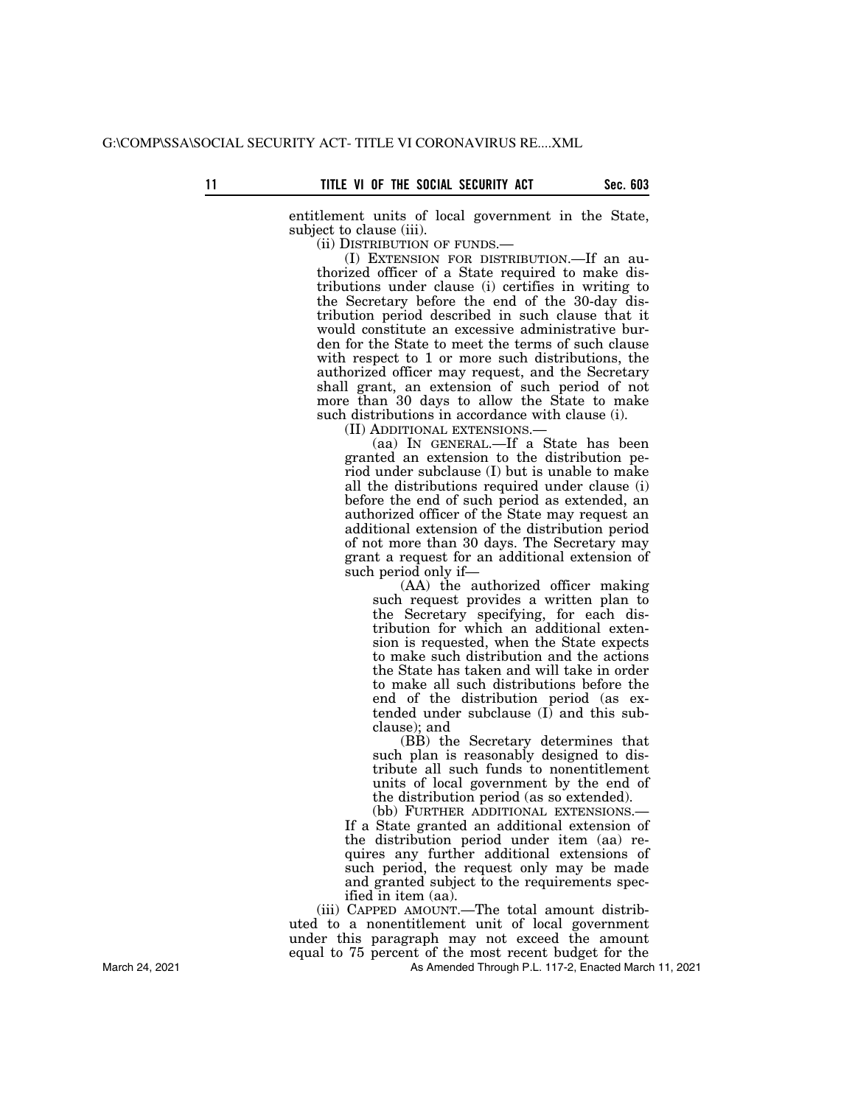entitlement units of local government in the State, subject to clause (iii).

(ii) DISTRIBUTION OF FUNDS.—

(I) EXTENSION FOR DISTRIBUTION.—If an authorized officer of a State required to make distributions under clause (i) certifies in writing to the Secretary before the end of the 30-day distribution period described in such clause that it would constitute an excessive administrative burden for the State to meet the terms of such clause with respect to 1 or more such distributions, the authorized officer may request, and the Secretary shall grant, an extension of such period of not more than 30 days to allow the State to make such distributions in accordance with clause (i).

(II) ADDITIONAL EXTENSIONS.—

(aa) IN GENERAL.—If a State has been granted an extension to the distribution period under subclause (I) but is unable to make all the distributions required under clause (i) before the end of such period as extended, an authorized officer of the State may request an additional extension of the distribution period of not more than 30 days. The Secretary may grant a request for an additional extension of such period only if—

(AA) the authorized officer making such request provides a written plan to the Secretary specifying, for each distribution for which an additional extension is requested, when the State expects to make such distribution and the actions the State has taken and will take in order to make all such distributions before the end of the distribution period (as extended under subclause (I) and this subclause); and

(BB) the Secretary determines that such plan is reasonably designed to distribute all such funds to nonentitlement units of local government by the end of the distribution period (as so extended).

(bb) FURTHER ADDITIONAL EXTENSIONS.— If a State granted an additional extension of the distribution period under item (aa) requires any further additional extensions of such period, the request only may be made and granted subject to the requirements specified in item (aa).

(iii) CAPPED AMOUNT.—The total amount distributed to a nonentitlement unit of local government under this paragraph may not exceed the amount equal to 75 percent of the most recent budget for the

As Amended Through P.L. 117-2, Enacted March 11, 2021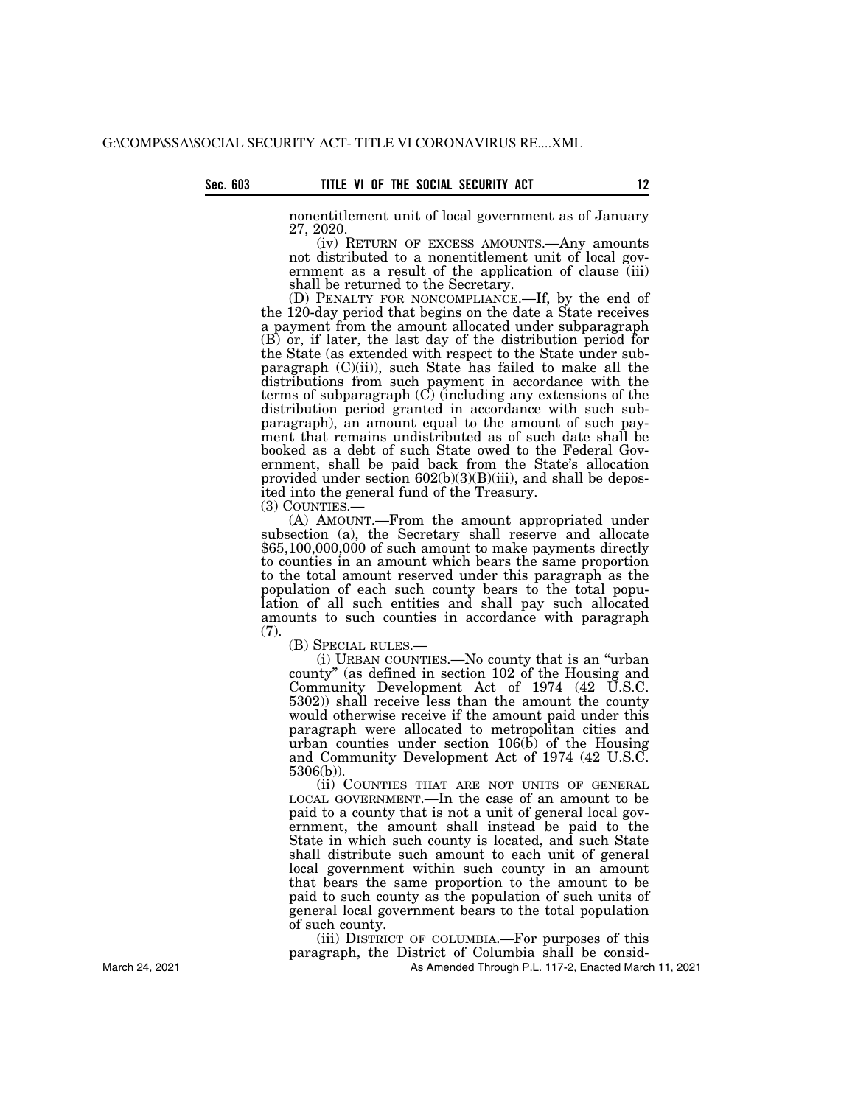nonentitlement unit of local government as of January 27, 2020.

(iv) RETURN OF EXCESS AMOUNTS.—Any amounts not distributed to a nonentitlement unit of local government as a result of the application of clause  $(iii)$ shall be returned to the Secretary.

(D) PENALTY FOR NONCOMPLIANCE.—If, by the end of the 120-day period that begins on the date a State receives a payment from the amount allocated under subparagraph (B) or, if later, the last day of the distribution period for the State (as extended with respect to the State under subparagraph  $(C)(ii)$ , such State has failed to make all the distributions from such payment in accordance with the terms of subparagraph (C) (including any extensions of the distribution period granted in accordance with such subparagraph), an amount equal to the amount of such payment that remains undistributed as of such date shall be booked as a debt of such State owed to the Federal Government, shall be paid back from the State's allocation provided under section  $602(b)(3)(B)(iii)$ , and shall be deposited into the general fund of the Treasury.<br>(3) COUNTIES.—

 $(A)$  AMOUNT.—From the amount appropriated under subsection (a), the Secretary shall reserve and allocate \$65,100,000,000 of such amount to make payments directly to counties in an amount which bears the same proportion to the total amount reserved under this paragraph as the population of each such county bears to the total population of all such entities and shall pay such allocated amounts to such counties in accordance with paragraph (7).

(B) SPECIAL RULES.—

(i) URBAN COUNTIES.—No county that is an ''urban county'' (as defined in section 102 of the Housing and Community Development Act of 1974 (42 U.S.C. 5302)) shall receive less than the amount the county would otherwise receive if the amount paid under this paragraph were allocated to metropolitan cities and urban counties under section  $106(b)$  of the Housing and Community Development Act of 1974 (42 U.S.C. 5306(b)).

(ii) COUNTIES THAT ARE NOT UNITS OF GENERAL LOCAL GOVERNMENT.—In the case of an amount to be paid to a county that is not a unit of general local government, the amount shall instead be paid to the State in which such county is located, and such State shall distribute such amount to each unit of general local government within such county in an amount that bears the same proportion to the amount to be paid to such county as the population of such units of general local government bears to the total population of such county.

(iii) DISTRICT OF COLUMBIA.—For purposes of this paragraph, the District of Columbia shall be consid-

As Amended Through P.L. 117-2, Enacted March 11, 2021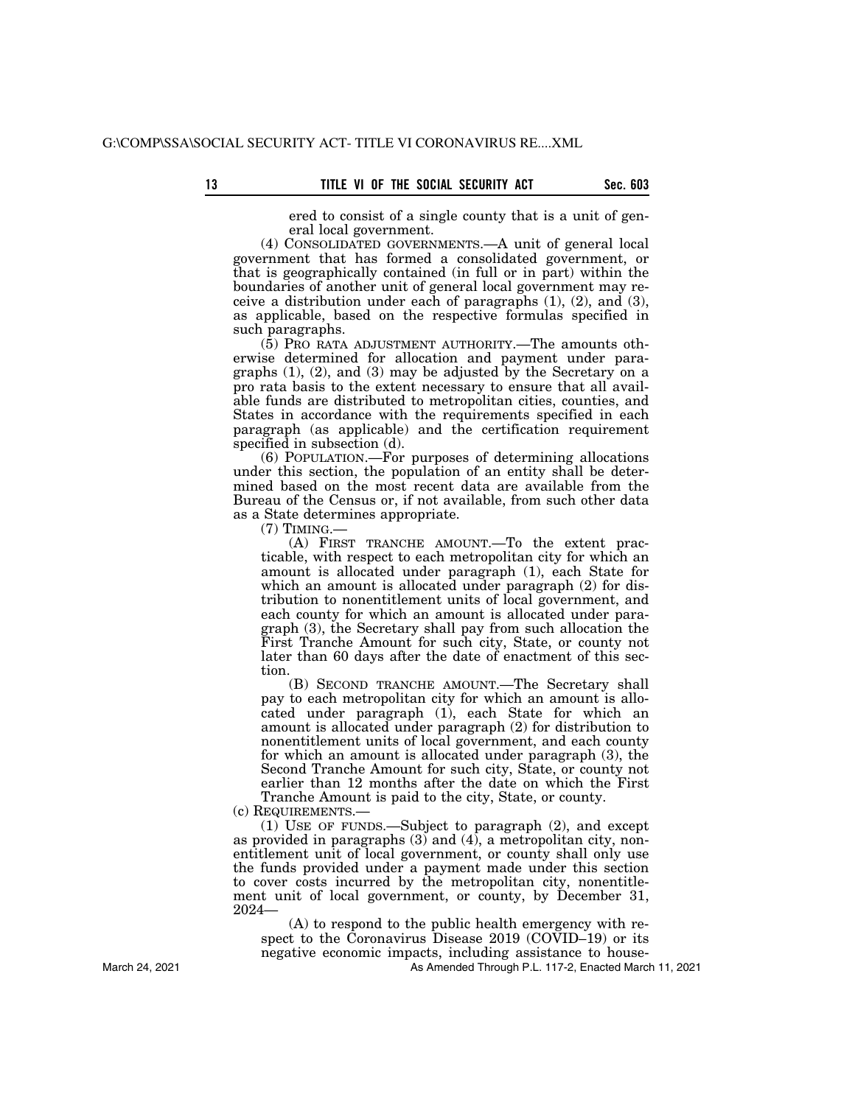ered to consist of a single county that is a unit of general local government.

(4) CONSOLIDATED GOVERNMENTS.—A unit of general local government that has formed a consolidated government, or that is geographically contained (in full or in part) within the boundaries of another unit of general local government may receive a distribution under each of paragraphs  $(1)$ ,  $(2)$ , and  $(3)$ , as applicable, based on the respective formulas specified in such paragraphs.

(5) PRO RATA ADJUSTMENT AUTHORITY.—The amounts otherwise determined for allocation and payment under paragraphs (1), (2), and (3) may be adjusted by the Secretary on a pro rata basis to the extent necessary to ensure that all available funds are distributed to metropolitan cities, counties, and States in accordance with the requirements specified in each paragraph (as applicable) and the certification requirement specified in subsection (d).

(6) POPULATION.—For purposes of determining allocations under this section, the population of an entity shall be determined based on the most recent data are available from the Bureau of the Census or, if not available, from such other data as a State determines appropriate.

(7) TIMING.—

(A) FIRST TRANCHE AMOUNT.—To the extent practicable, with respect to each metropolitan city for which an amount is allocated under paragraph (1), each State for which an amount is allocated under paragraph  $(2)$  for distribution to nonentitlement units of local government, and each county for which an amount is allocated under paragraph (3), the Secretary shall pay from such allocation the First Tranche Amount for such city, State, or county not later than 60 days after the date of enactment of this section.

(B) SECOND TRANCHE AMOUNT.—The Secretary shall pay to each metropolitan city for which an amount is allocated under paragraph (1), each State for which an amount is allocated under paragraph (2) for distribution to nonentitlement units of local government, and each county for which an amount is allocated under paragraph (3), the Second Tranche Amount for such city, State, or county not earlier than 12 months after the date on which the First Tranche Amount is paid to the city, State, or county.

(c) REQUIREMENTS.—

(1) USE OF FUNDS.—Subject to paragraph (2), and except as provided in paragraphs  $(3)$  and  $(4)$ , a metropolitan city, nonentitlement unit of local government, or county shall only use the funds provided under a payment made under this section to cover costs incurred by the metropolitan city, nonentitlement unit of local government, or county, by December 31, 2024—

(A) to respond to the public health emergency with respect to the Coronavirus Disease 2019 (COVID–19) or its negative economic impacts, including assistance to house-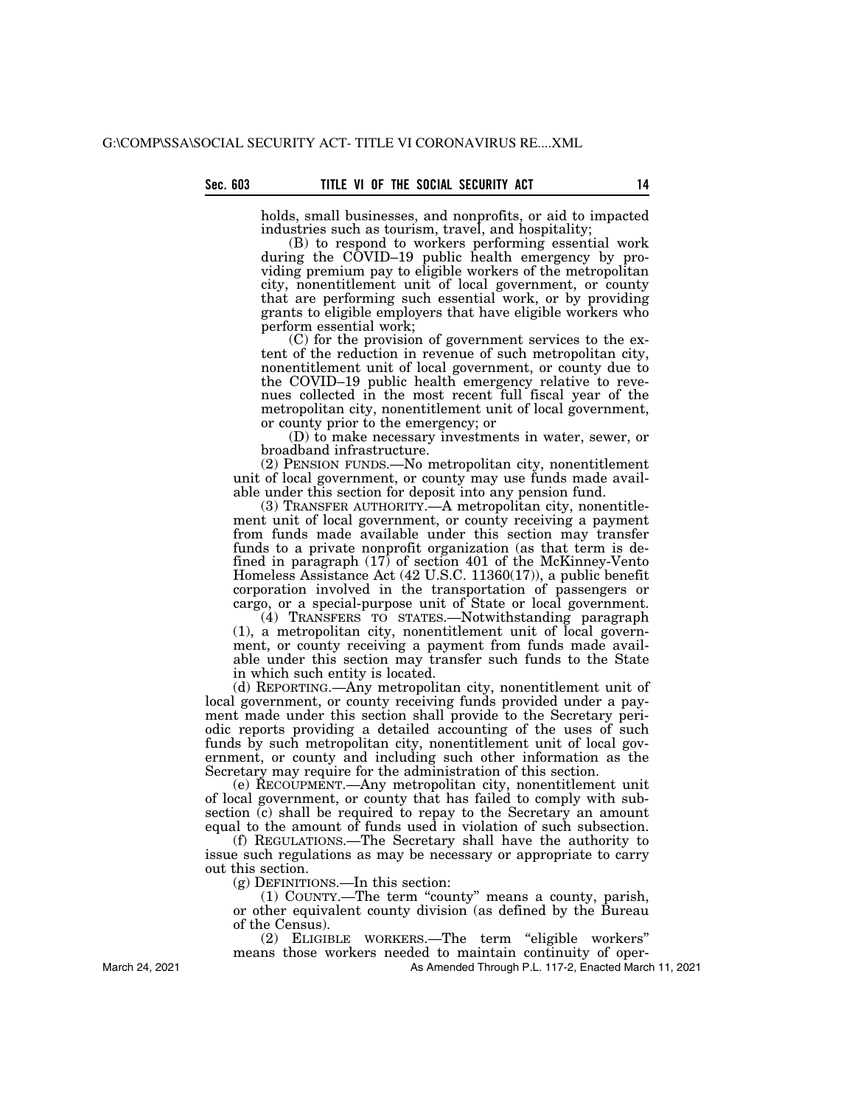holds, small businesses, and nonprofits, or aid to impacted industries such as tourism, travel, and hospitality;

(B) to respond to workers performing essential work during the COVID–19 public health emergency by providing premium pay to eligible workers of the metropolitan city, nonentitlement unit of local government, or county that are performing such essential work, or by providing grants to eligible employers that have eligible workers who perform essential work;

(C) for the provision of government services to the extent of the reduction in revenue of such metropolitan city, nonentitlement unit of local government, or county due to the COVID–19 public health emergency relative to revenues collected in the most recent full fiscal year of the metropolitan city, nonentitlement unit of local government, or county prior to the emergency; or

(D) to make necessary investments in water, sewer, or broadband infrastructure.

(2) PENSION FUNDS.—No metropolitan city, nonentitlement unit of local government, or county may use funds made available under this section for deposit into any pension fund.

(3) TRANSFER AUTHORITY.—A metropolitan city, nonentitlement unit of local government, or county receiving a payment from funds made available under this section may transfer funds to a private nonprofit organization (as that term is defined in paragraph (17) of section 401 of the McKinney-Vento Homeless Assistance Act (42 U.S.C. 11360(17)), a public benefit corporation involved in the transportation of passengers or cargo, or a special-purpose unit of State or local government.

(4) TRANSFERS TO STATES.—Notwithstanding paragraph (1), a metropolitan city, nonentitlement unit of local government, or county receiving a payment from funds made available under this section may transfer such funds to the State in which such entity is located.

(d) REPORTING.—Any metropolitan city, nonentitlement unit of local government, or county receiving funds provided under a payment made under this section shall provide to the Secretary periodic reports providing a detailed accounting of the uses of such funds by such metropolitan city, nonentitlement unit of local government, or county and including such other information as the Secretary may require for the administration of this section.

(e) RECOUPMENT.—Any metropolitan city, nonentitlement unit of local government, or county that has failed to comply with subsection (c) shall be required to repay to the Secretary an amount equal to the amount of funds used in violation of such subsection.

(f) REGULATIONS.—The Secretary shall have the authority to issue such regulations as may be necessary or appropriate to carry out this section.

(g) DEFINITIONS.—In this section:

(1) COUNTY.—The term ''county'' means a county, parish, or other equivalent county division (as defined by the Bureau of the Census).

(2) ELIGIBLE WORKERS.—The term ''eligible workers'' means those workers needed to maintain continuity of oper-

As Amended Through P.L. 117-2, Enacted March 11, 2021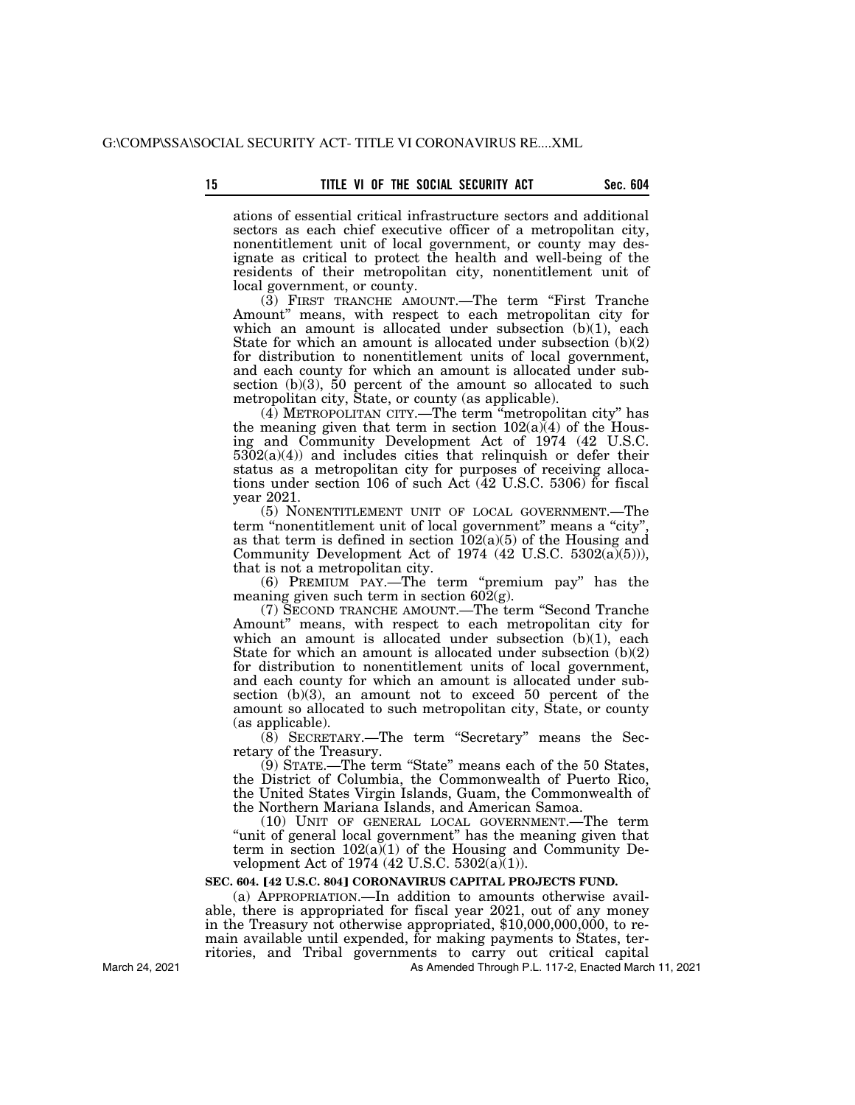ations of essential critical infrastructure sectors and additional sectors as each chief executive officer of a metropolitan city, nonentitlement unit of local government, or county may designate as critical to protect the health and well-being of the residents of their metropolitan city, nonentitlement unit of local government, or county.

(3) FIRST TRANCHE AMOUNT.—The term ''First Tranche Amount'' means, with respect to each metropolitan city for which an amount is allocated under subsection  $(b)(1)$ , each State for which an amount is allocated under subsection (b)(2) for distribution to nonentitlement units of local government, and each county for which an amount is allocated under subsection  $(b)(3)$ , 50 percent of the amount so allocated to such metropolitan city, State, or county (as applicable).

(4) METROPOLITAN CITY.—The term ''metropolitan city'' has the meaning given that term in section  $102(a)(4)$  of the Housing and Community Development Act of 1974 (42 U.S.C.  $5302(a)(4)$  and includes cities that relinguish or defer their status as a metropolitan city for purposes of receiving allocations under section 106 of such Act (42 U.S.C. 5306) for fiscal year 2021.

(5) NONENTITLEMENT UNIT OF LOCAL GOVERNMENT.—The term "nonentitlement unit of local government" means a "city" as that term is defined in section  $102(a)(5)$  of the Housing and Community Development Act of 1974  $(42 \text{ U.S.C. } 5302(a)(5)))$ , that is not a metropolitan city.

(6) PREMIUM PAY.—The term ''premium pay'' has the meaning given such term in section  $60\overline{2}(g)$ .

(7) SECOND TRANCHE AMOUNT.—The term ''Second Tranche Amount'' means, with respect to each metropolitan city for which an amount is allocated under subsection  $(b)(1)$ , each State for which an amount is allocated under subsection (b)(2) for distribution to nonentitlement units of local government, and each county for which an amount is allocated under subsection (b)(3), an amount not to exceed 50 percent of the amount so allocated to such metropolitan city, State, or county (as applicable).

 $(S)$  SECRETARY.—The term "Secretary" means the Secretary of the Treasury.

(9) STATE.—The term ''State'' means each of the 50 States, the District of Columbia, the Commonwealth of Puerto Rico, the United States Virgin Islands, Guam, the Commonwealth of the Northern Mariana Islands, and American Samoa.

(10) UNIT OF GENERAL LOCAL GOVERNMENT.—The term "unit of general local government" has the meaning given that term in section  $102(a)(1)$  of the Housing and Community Development Act of 1974 (42 U.S.C.  $5302(a)(1)$ ).

# **SEC. 604. [42 U.S.C. 804] CORONAVIRUS CAPITAL PROJECTS FUND.**

(a) APPROPRIATION.—In addition to amounts otherwise available, there is appropriated for fiscal year 2021, out of any money in the Treasury not otherwise appropriated, \$10,000,000,000, to remain available until expended, for making payments to States, territories, and Tribal governments to carry out critical capital

March 24, 2021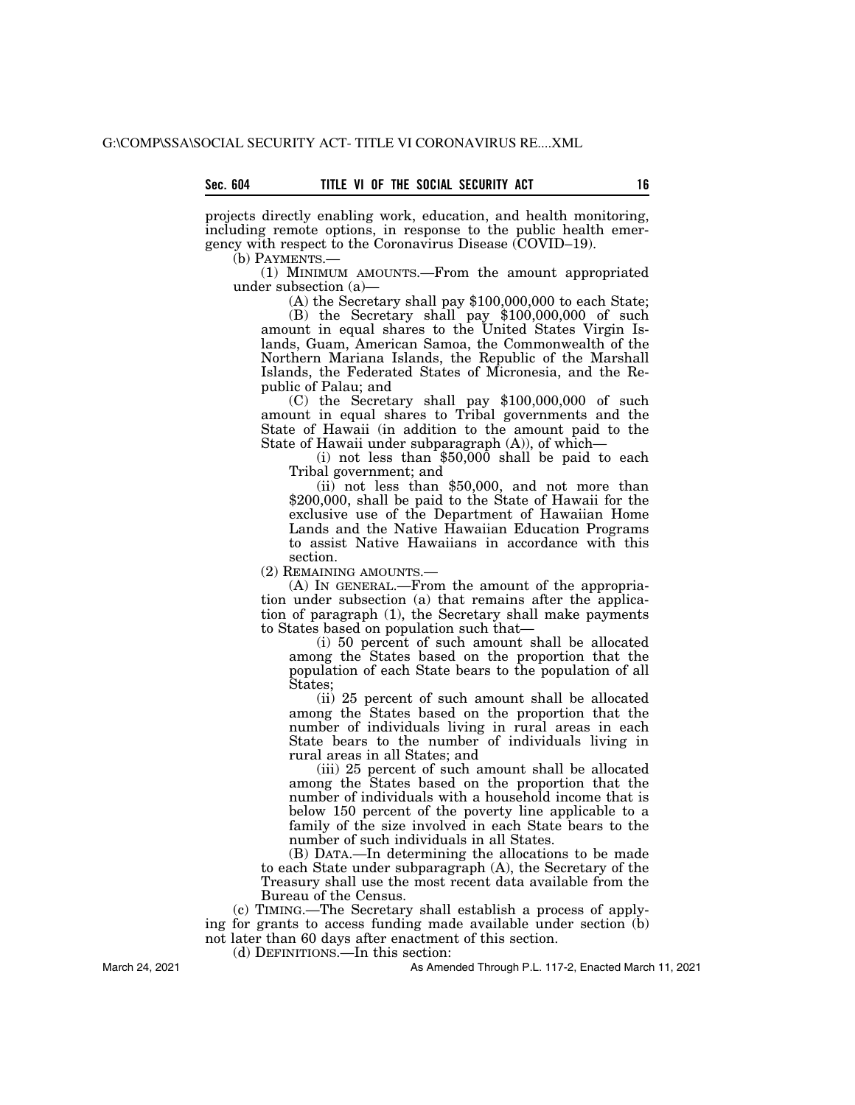projects directly enabling work, education, and health monitoring, including remote options, in response to the public health emergency with respect to the Coronavirus Disease (COVID–19).

(b) PAYMENTS.—

(1) MINIMUM AMOUNTS.—From the amount appropriated under subsection (a)—

(A) the Secretary shall pay \$100,000,000 to each State;

(B) the Secretary shall pay \$100,000,000 of such amount in equal shares to the United States Virgin Islands, Guam, American Samoa, the Commonwealth of the Northern Mariana Islands, the Republic of the Marshall Islands, the Federated States of Micronesia, and the Republic of Palau; and

(C) the Secretary shall pay \$100,000,000 of such amount in equal shares to Tribal governments and the State of Hawaii (in addition to the amount paid to the State of Hawaii under subparagraph (A)), of which—

(i) not less than \$50,000 shall be paid to each Tribal government; and

(ii) not less than \$50,000, and not more than \$200,000, shall be paid to the State of Hawaii for the exclusive use of the Department of Hawaiian Home Lands and the Native Hawaiian Education Programs to assist Native Hawaiians in accordance with this section.

(2) REMAINING AMOUNTS.—

(A) IN GENERAL.—From the amount of the appropriation under subsection (a) that remains after the application of paragraph (1), the Secretary shall make payments to States based on population such that—

(i) 50 percent of such amount shall be allocated among the States based on the proportion that the population of each State bears to the population of all States;

(ii) 25 percent of such amount shall be allocated among the States based on the proportion that the number of individuals living in rural areas in each State bears to the number of individuals living in rural areas in all States; and

(iii) 25 percent of such amount shall be allocated among the States based on the proportion that the number of individuals with a household income that is below 150 percent of the poverty line applicable to a family of the size involved in each State bears to the number of such individuals in all States.

(B) DATA.—In determining the allocations to be made to each State under subparagraph (A), the Secretary of the Treasury shall use the most recent data available from the Bureau of the Census.

(c) TIMING.—The Secretary shall establish a process of applying for grants to access funding made available under section (b) not later than 60 days after enactment of this section.

(d) DEFINITIONS.—In this section:

As Amended Through P.L. 117-2, Enacted March 11, 2021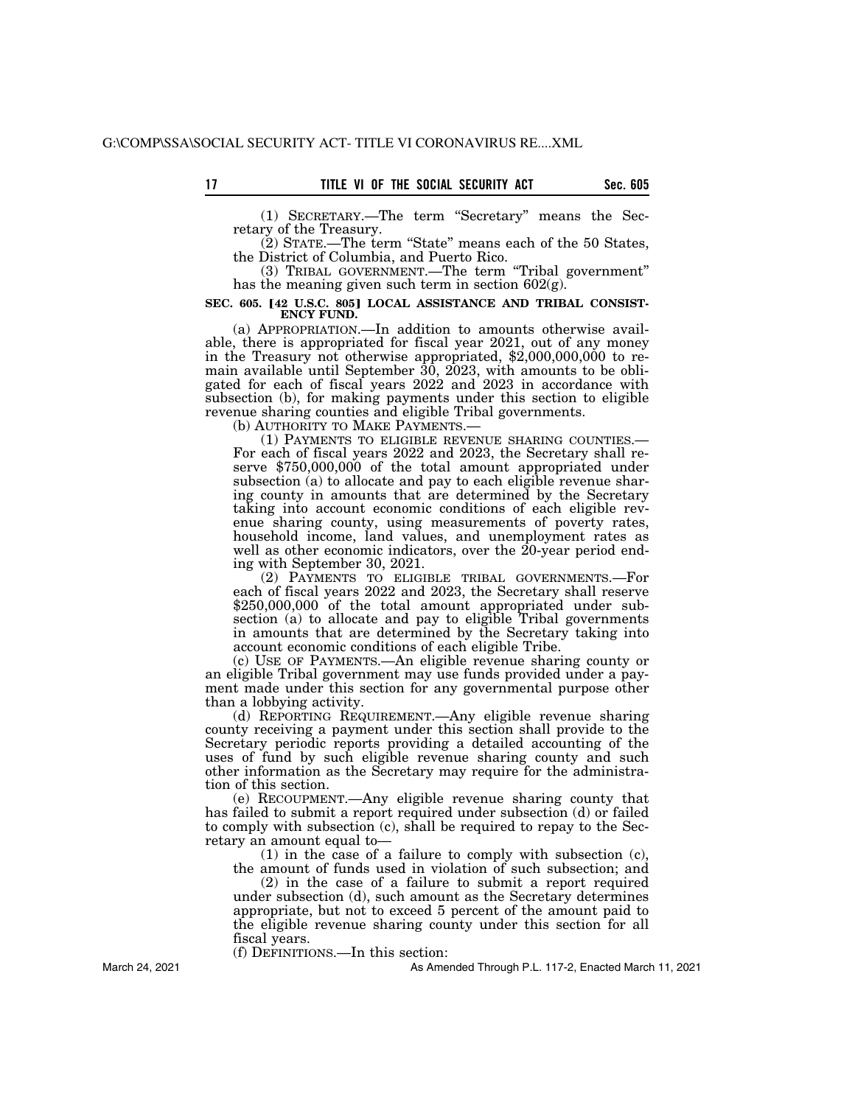(1) SECRETARY.—The term ''Secretary'' means the Secretary of the Treasury.

(2) STATE.—The term ''State'' means each of the 50 States, the District of Columbia, and Puerto Rico.

(3) TRIBAL GOVERNMENT.—The term ''Tribal government'' has the meaning given such term in section 602(g).

# SEC. 605. [42 U.S.C. 805] LOCAL ASSISTANCE AND TRIBAL CONSIST-<br>ENCY FUND.

(a) APPROPRIATION.—In addition to amounts otherwise available, there is appropriated for fiscal year 2021, out of any money in the Treasury not otherwise appropriated, \$2,000,000,000 to remain available until September 30, 2023, with amounts to be obligated for each of fiscal years 2022 and 2023 in accordance with subsection (b), for making payments under this section to eligible revenue sharing counties and eligible Tribal governments.

(1) PAYMENTS TO ELIGIBLE REVENUE SHARING COUNTIES.— For each of fiscal years 2022 and 2023, the Secretary shall reserve \$750,000,000 of the total amount appropriated under subsection (a) to allocate and pay to each eligible revenue sharing county in amounts that are determined by the Secretary taking into account economic conditions of each eligible revenue sharing county, using measurements of poverty rates, household income, land values, and unemployment rates as well as other economic indicators, over the 20-year period ending with September 30, 2021.

(2) PAYMENTS TO ELIGIBLE TRIBAL GOVERNMENTS.—For each of fiscal years 2022 and 2023, the Secretary shall reserve \$250,000,000 of the total amount appropriated under subsection (a) to allocate and pay to eligible Tribal governments in amounts that are determined by the Secretary taking into account economic conditions of each eligible Tribe.

(c) USE OF PAYMENTS.—An eligible revenue sharing county or an eligible Tribal government may use funds provided under a payment made under this section for any governmental purpose other than a lobbying activity.

(d) REPORTING REQUIREMENT.—Any eligible revenue sharing county receiving a payment under this section shall provide to the Secretary periodic reports providing a detailed accounting of the uses of fund by such eligible revenue sharing county and such other information as the Secretary may require for the administration of this section.

(e) RECOUPMENT.—Any eligible revenue sharing county that has failed to submit a report required under subsection (d) or failed to comply with subsection (c), shall be required to repay to the Secretary an amount equal to—

(1) in the case of a failure to comply with subsection (c), the amount of funds used in violation of such subsection; and

(2) in the case of a failure to submit a report required under subsection (d), such amount as the Secretary determines appropriate, but not to exceed 5 percent of the amount paid to the eligible revenue sharing county under this section for all fiscal years.

(f) DEFINITIONS.—In this section:

As Amended Through P.L. 117-2, Enacted March 11, 2021